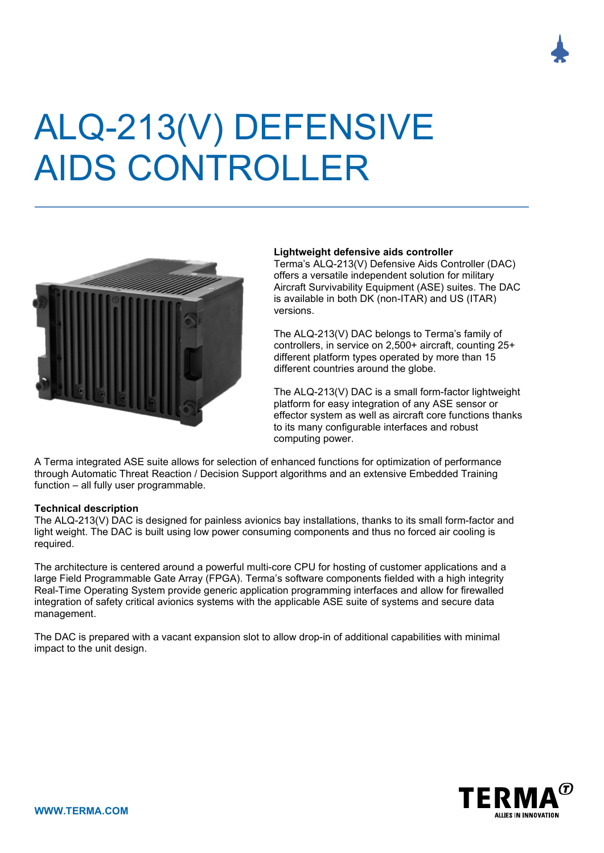# ALQ-213(V) DEFENSIVE AIDS CONTROLLER



# **Lightweight defensive aids controller**

Terma's ALQ-213(V) Defensive Aids Controller (DAC) offers a versatile independent solution for military Aircraft Survivability Equipment (ASE) suites. The DAC is available in both DK (non-ITAR) and US (ITAR) versions.

The ALQ-213(V) DAC belongs to Terma's family of controllers, in service on 2,500+ aircraft, counting 25+ different platform types operated by more than 15 different countries around the globe.

The ALQ-213(V) DAC is a small form-factor lightweight platform for easy integration of any ASE sensor or effector system as well as aircraft core functions thanks to its many configurable interfaces and robust computing power.

A Terma integrated ASE suite allows for selection of enhanced functions for optimization of performance through Automatic Threat Reaction / Decision Support algorithms and an extensive Embedded Training function – all fully user programmable.

### **Technical description**

The ALQ-213(V) DAC is designed for painless avionics bay installations, thanks to its small form-factor and light weight. The DAC is built using low power consuming components and thus no forced air cooling is required.

The architecture is centered around a powerful multi-core CPU for hosting of customer applications and a large Field Programmable Gate Array (FPGA). Terma's software components fielded with a high integrity Real-Time Operating System provide generic application programming interfaces and allow for firewalled integration of safety critical avionics systems with the applicable ASE suite of systems and secure data management.

The DAC is prepared with a vacant expansion slot to allow drop-in of additional capabilities with minimal impact to the unit design.